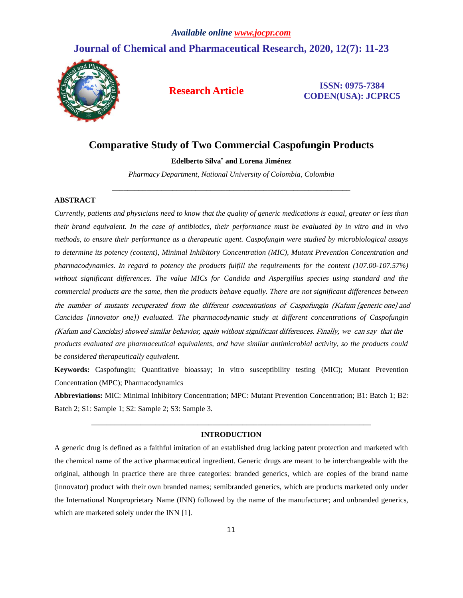# **Journal of Chemical and Pharmaceutical Research, 2020, 12(7): 11-23**



**Research Article ISSN: 0975-7384 CODEN(USA): JCPRC5**

# **Comparative Study of Two Commercial Caspofungin Products**

### **Edelberto Silva\* and Lorena Jiménez**

*Pharmacy Department, National University of Colombia, Colombia* \_\_\_\_\_\_\_\_\_\_\_\_\_\_\_\_\_\_\_\_\_\_\_\_\_\_\_\_\_\_\_\_\_\_\_\_\_\_\_\_\_\_\_\_\_\_\_\_\_\_\_\_\_\_\_\_\_\_\_\_\_\_\_

# **ABSTRACT**

*Currently, patients and physicians need to know that the quality of generic medications is equal, greater or less than their brand equivalent. In the case of antibiotics, their performance must be evaluated by in vitro and in vivo methods, to ensure their performance as a therapeutic agent. Caspofungin were studied by microbiological assays to determine its potency (content), Minimal Inhibitory Concentration (MIC), Mutant Prevention Concentration and pharmacodynamics. In regard to potency the products fulfill the requirements for the content (107.00-107.57%) without significant differences. The value MICs for Candida and Aspergillus species using standard and the commercial products are the same, then the products behave equally. There are not significant differences between Cancidas [innovator one]) evaluated. The pharmacodynamic study at different concentrations of Caspofungin products evaluated are pharmaceutical equivalents, and have similar antimicrobial activity, so the products could be considered therapeutically equivalent.* the number of mutants recuperated from the different concentrations of Caspofungin (Kafum [generic one] and (Kafum and Cancidas) showed similar behavior, again without significant differences. Finally, we can say that the

**Keywords:** Caspofungin; Quantitative bioassay; In vitro susceptibility testing (MIC); Mutant Prevention Concentration (MPC); Pharmacodynamics

**Abbreviations:** MIC: Minimal Inhibitory Concentration; MPC: Mutant Prevention Concentration; B1: Batch 1; B2: Batch 2; S1: Sample 1; S2: Sample 2; S3: Sample 3.

# *\_\_\_\_\_\_\_\_\_\_\_\_\_\_\_\_\_\_\_\_\_\_\_\_\_\_\_\_\_\_\_\_\_\_\_\_\_\_\_\_\_\_\_\_\_\_\_\_\_\_\_\_\_\_\_\_\_\_\_\_\_\_\_\_\_\_\_\_\_\_\_\_\_\_* **INTRODUCTION**

A generic drug is defined as a faithful imitation of an established drug lacking patent protection and marketed with the chemical name of the active pharmaceutical ingredient. Generic drugs are meant to be interchangeable with the original, although in practice there are three categories: branded generics, which are copies of the brand name (innovator) product with their own branded names; semibranded generics, which are products marketed only under the International Nonproprietary Name (INN) followed by the name of the manufacturer; and unbranded generics, which are marketed solely under the INN [1].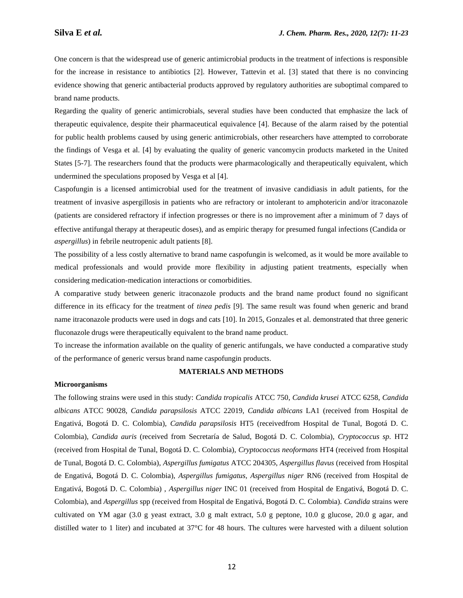One concern is that the widespread use of generic antimicrobial products in the treatment of infections is responsible for the increase in resistance to antibiotics [2]. However, Tattevin et al. [3] stated that there is no convincing evidence showing that generic antibacterial products approved by regulatory authorities are suboptimal compared to brand name products.

Regarding the quality of generic antimicrobials, several studies have been conducted that emphasize the lack of therapeutic equivalence, despite their pharmaceutical equivalence [4]. Because of the alarm raised by the potential for public health problems caused by using generic antimicrobials, other researchers have attempted to corroborate the findings of Vesga et al. [4] by evaluating the quality of generic vancomycin products marketed in the United States [5-7]. The researchers found that the products were pharmacologically and therapeutically equivalent, which undermined the speculations proposed by Vesga et al [4].

Caspofungin is a licensed antimicrobial used for the treatment of invasive candidiasis in adult patients, for the treatment of invasive aspergillosis in patients who are refractory or intolerant to amphotericin and/or itraconazole (patients are considered refractory if infection progresses or there is no improvement after a minimum of 7 days of *aspergillus*) in febrile neutropenic adult patients [8]. effective antifungal therapy at therapeutic doses), and as empiric therapy for presumed fungal infections (Candida or

The possibility of a less costly alternative to brand name caspofungin is welcomed, as it would be more available to medical professionals and would provide more flexibility in adjusting patient treatments, especially when considering medication-medication interactions or comorbidities.

A comparative study between generic itraconazole products and the brand name product found no significant difference in its efficacy for the treatment of *tinea pedis* [9]. The same result was found when generic and brand name itraconazole products were used in dogs and cats [10]. In 2015, Gonzales et al. demonstrated that three generic fluconazole drugs were therapeutically equivalent to the brand name product.

To increase the information available on the quality of generic antifungals, we have conducted a comparative study of the performance of generic versus brand name caspofungin products.

# **MATERIALS AND METHODS**

#### **Microorganisms**

The following strains were used in this study: *Candida tropicalis* ATCC 750, *Candida krusei* ATCC 6258, *Candida albicans* ATCC 90028, *Candida parapsilosis* ATCC 22019, *Candida albicans* LA1 (received from Hospital de Engativá, Bogotá D. C. Colombia), *Candida parapsilosis* HT5 (receivedfrom Hospital de Tunal, Bogotá D. C. Colombia), *Candida auris* (received from Secretaría de Salud, Bogotá D. C. Colombia), *Cryptococcus sp.* HT2 (received from Hospital de Tunal, Bogotá D. C. Colombia), *Cryptococcus neoformans* HT4 (received from Hospital de Tunal, Bogotá D. C. Colombia), *Aspergillus fumigatus* ATCC 204305, *Aspergillus flavus* (received from Hospital de Engativá, Bogotá D. C. Colombia), *Aspergillus fumigatus, Aspergillus niger* RN6 (received from Hospital de Engativá, Bogotá D. C. Colombia) , *Aspergillus niger* INC 01 (received from Hospital de Engativá, Bogotá D. C. Colombia), and *Aspergillus* spp (received from Hospital de Engativá, Bogotá D. C. Colombia). *Candida* strains were cultivated on YM agar (3.0 g yeast extract, 3.0 g malt extract, 5.0 g peptone, 10.0 g glucose, 20.0 g agar, and distilled water to 1 liter) and incubated at 37°C for 48 hours. The cultures were harvested with a diluent solution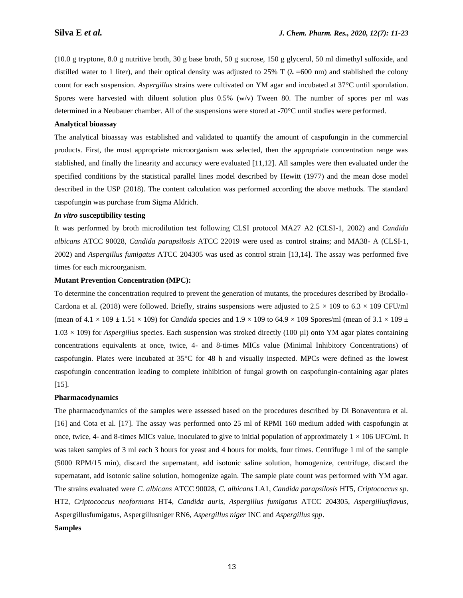(10.0 g tryptone, 8.0 g nutritive broth, 30 g base broth, 50 g sucrose, 150 g glycerol, 50 ml dimethyl sulfoxide, and distilled water to 1 liter), and their optical density was adjusted to 25% T ( $\lambda$  =600 nm) and stablished the colony count for each suspension. *Aspergillus* strains were cultivated on YM agar and incubated at 37°C until sporulation. Spores were harvested with diluent solution plus  $0.5\%$  (w/v) Tween 80. The number of spores per ml was determined in a Neubauer chamber. All of the suspensions were stored at -70°C until studies were performed.

# **Analytical bioassay**

The analytical bioassay was established and validated to quantify the amount of caspofungin in the commercial products. First, the most appropriate microorganism was selected, then the appropriate concentration range was stablished, and finally the linearity and accuracy were evaluated [11,12]. All samples were then evaluated under the specified conditions by the statistical parallel lines model described by Hewitt (1977) and the mean dose model described in the USP (2018). The content calculation was performed according the above methods. The standard caspofungin was purchase from Sigma Aldrich.

# *In vitro* **susceptibility testing**

It was performed by broth microdilution test following CLSI protocol MA27 A2 (CLSI-1, 2002) and *Candida albicans* ATCC 90028, *Candida parapsilosis* ATCC 22019 were used as control strains; and MA38- A (CLSI-1, 2002) and *Aspergillus fumigatus* ATCC 204305 was used as control strain [13,14]. The assay was performed five times for each microorganism.

#### **Mutant Prevention Concentration (MPC):**

To determine the concentration required to prevent the generation of mutants, the procedures described by Brodallo-Cardona et al. (2018) were followed. Briefly, strains suspensions were adjusted to  $2.5 \times 109$  to  $6.3 \times 109$  CFU/ml (mean of  $4.1 \times 109 \pm 1.51 \times 109$ ) for *Candida* species and  $1.9 \times 109$  to  $64.9 \times 109$  Spores/ml (mean of  $3.1 \times 109 \pm 1.51 \times 109$ ) 1.03 × 109) for *Aspergillus* species. Each suspension was stroked directly (100 µl) onto YM agar plates containing concentrations equivalents at once, twice, 4- and 8-times MICs value (Minimal Inhibitory Concentrations) of caspofungin. Plates were incubated at 35°C for 48 h and visually inspected. MPCs were defined as the lowest caspofungin concentration leading to complete inhibition of fungal growth on caspofungin-containing agar plates  $[15]$ .

### **Pharmacodynamics**

The pharmacodynamics of the samples were assessed based on the procedures described by Di Bonaventura et al. [16] and Cota et al. [17]. The assay was performed onto 25 ml of RPMI 160 medium added with caspofungin at once, twice, 4- and 8-times MICs value, inoculated to give to initial population of approximately  $1 \times 106$  UFC/ml. It was taken samples of 3 ml each 3 hours for yeast and 4 hours for molds, four times. Centrifuge 1 ml of the sample (5000 RPM/15 min), discard the supernatant, add isotonic saline solution, homogenize, centrifuge, discard the supernatant, add isotonic saline solution, homogenize again. The sample plate count was performed with YM agar. The strains evaluated were *C. albicans* ATCC 90028, *C. albicans* LA1, *Candida parapsilosis* HT5, *Criptococcus sp*. HT2, *Criptococcus neoformans* HT4, *Candida auris, Aspergillus fumigatus* ATCC 204305, *Aspergillusflavus,* Aspergillusfumigatus, Aspergillusniger RN6, *Aspergillus niger* INC and *Aspergillus spp*.

# **Samples**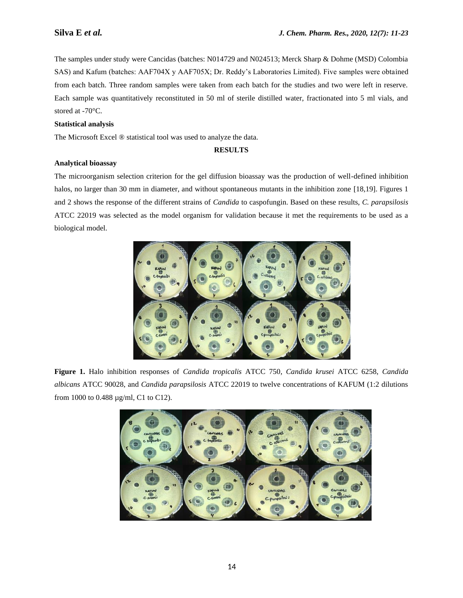The samples under study were Cancidas (batches: N014729 and N024513; Merck Sharp & Dohme (MSD) Colombia SAS) and Kafum (batches: AAF704X y AAF705X; Dr. Reddy's Laboratories Limited). Five samples were obtained from each batch. Three random samples were taken from each batch for the studies and two were left in reserve. Each sample was quantitatively reconstituted in 50 ml of sterile distilled water, fractionated into 5 ml vials, and stored at -70°C.

# **Statistical analysis**

The Microsoft Excel ® statistical tool was used to analyze the data.

# **RESULTS**

### **Analytical bioassay**

The microorganism selection criterion for the gel diffusion bioassay was the production of well-defined inhibition halos, no larger than 30 mm in diameter, and without spontaneous mutants in the inhibition zone [18,19]. Figures 1 and 2 shows the response of the different strains of *Candida* to caspofungin. Based on these results, *C. parapsilosis* ATCC 22019 was selected as the model organism for validation because it met the requirements to be used as a biological model.



**Figure 1.** Halo inhibition responses of *Candida tropicalis* ATCC 750, *Candida krusei* ATCC 6258, *Candida albicans* ATCC 90028, and *Candida parapsilosis* ATCC 22019 to twelve concentrations of KAFUM (1:2 dilutions from 1000 to 0.488 µg/ml, C1 to C12).

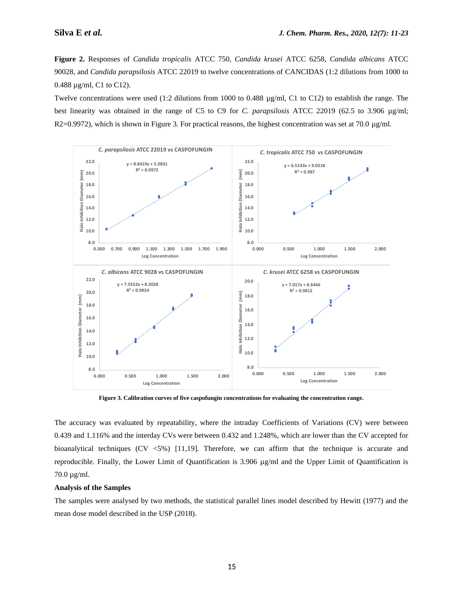**Figure 2.** Responses of *Candida tropicalis* ATCC 750, *Candida krusei* ATCC 6258, *Candida albicans* ATCC 90028, and *Candida parapsilosis* ATCC 22019 to twelve concentrations of CANCIDAS (1:2 dilutions from 1000 to 0.488 µg/ml, C1 to C12).

Twelve concentrations were used (1:2 dilutions from 1000 to 0.488 µg/ml, C1 to C12) to establish the range. The best linearity was obtained in the range of C5 to C9 for *C. parapsilosis* ATCC 22019 (62.5 to 3.906 µg/ml; R2=0.9972), which is shown in Figure 3. For practical reasons, the highest concentration was set at 70.0  $\mu$ g/ml.



**Figure 3. Calibration curves of five caspofungin concentrations for evaluating the concentration range.**

The accuracy was evaluated by repeatability, where the intraday Coefficients of Variations (CV) were between 0.439 and 1.116% and the interday CVs were between 0.432 and 1.248%, which are lower than the CV accepted for bioanalytical techniques (CV  $\langle 5\% \rangle$  [11,19]. Therefore, we can affirm that the technique is accurate and reproducible. Finally, the Lower Limit of Quantification is 3.906 µg/ml and the Upper Limit of Quantification is 70.0 µg/ml.

#### **Analysis of the Samples**

The samples were analysed by two methods, the statistical parallel lines model described by Hewitt (1977) and the mean dose model described in the USP (2018).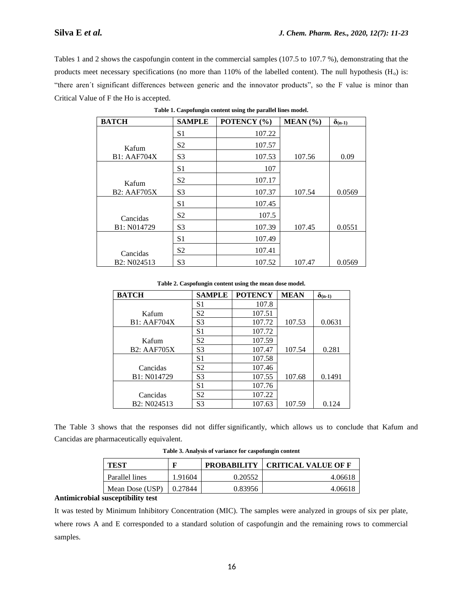Tables 1 and 2 shows the caspofungin content in the commercial samples (107.5 to 107.7 %), demonstrating that the products meet necessary specifications (no more than  $110\%$  of the labelled content). The null hypothesis (H<sub>o</sub>) is: "there aren´t significant differences between generic and the innovator products", so the F value is minor than Critical Value of F the Ho is accepted.

| <b>BATCH</b>                         | <b>SAMPLE</b>  | POTENCY (%) | MEAN (%) | $\delta$ (n-1) |
|--------------------------------------|----------------|-------------|----------|----------------|
|                                      | S1             | 107.22      |          |                |
| Kafum                                | S <sub>2</sub> | 107.57      |          |                |
| <b>B1: AAF704X</b>                   | S <sub>3</sub> | 107.53      | 107.56   | 0.09           |
|                                      | S <sub>1</sub> | 107         |          |                |
| Kafum                                | S <sub>2</sub> | 107.17      |          |                |
| <b>B2: AAF705X</b>                   | S <sub>3</sub> | 107.37      | 107.54   | 0.0569         |
|                                      | S <sub>1</sub> | 107.45      |          |                |
| Cancidas                             | S <sub>2</sub> | 107.5       |          |                |
| B1: N014729                          | S <sub>3</sub> | 107.39      | 107.45   | 0.0551         |
|                                      | S <sub>1</sub> | 107.49      |          |                |
| Cancidas                             | S <sub>2</sub> | 107.41      |          |                |
| B <sub>2</sub> : N <sub>024513</sub> | S <sub>3</sub> | 107.52      | 107.47   | 0.0569         |

**Table 1. Caspofungin content using the parallel lines model.**

**Table 2. Caspofungin content using the mean dose model.**

| <b>BATCH</b>       | <b>SAMPLE</b>  | <b>POTENCY</b> | <b>MEAN</b> | $\delta_{(n-1)}$ |
|--------------------|----------------|----------------|-------------|------------------|
|                    | S <sub>1</sub> | 107.8          |             |                  |
| Kafum              | S2             | 107.51         |             |                  |
| <b>B1: AAF704X</b> | S <sub>3</sub> | 107.72         | 107.53      | 0.0631           |
|                    | S <sub>1</sub> | 107.72         |             |                  |
| Kafum              | S <sub>2</sub> | 107.59         |             |                  |
| <b>B2: AAF705X</b> | S <sub>3</sub> | 107.47         | 107.54      | 0.281            |
|                    | S <sub>1</sub> | 107.58         |             |                  |
| Cancidas           | S <sub>2</sub> | 107.46         |             |                  |
| B1: N014729        | S <sub>3</sub> | 107.55         | 107.68      | 0.1491           |
|                    | S <sub>1</sub> | 107.76         |             |                  |
| Cancidas           | S <sub>2</sub> | 107.22         |             |                  |
| B2: N024513        | S <sub>3</sub> | 107.63         | 107.59      | 0.124            |

Cancidas are pharmaceutically equivalent. The Table 3 shows that the responses did not differ significantly, which allows us to conclude that Kafum and

| TEST            |         | <b>PROBABILITY</b> | <b>CRITICAL VALUE OF F</b> |
|-----------------|---------|--------------------|----------------------------|
| Parallel lines  | 1.91604 | 0.20552            | 4.06618                    |
| Mean Dose (USP) | 0.27844 | 0.83956            | 4.06618                    |

**Table 3. Analysis of variance for caspofungin content**

### **Antimicrobial susceptibility test**

It was tested by Minimum Inhibitory Concentration (MIC). The samples were analyzed in groups of six per plate, where rows A and E corresponded to a standard solution of caspofungin and the remaining rows to commercial samples.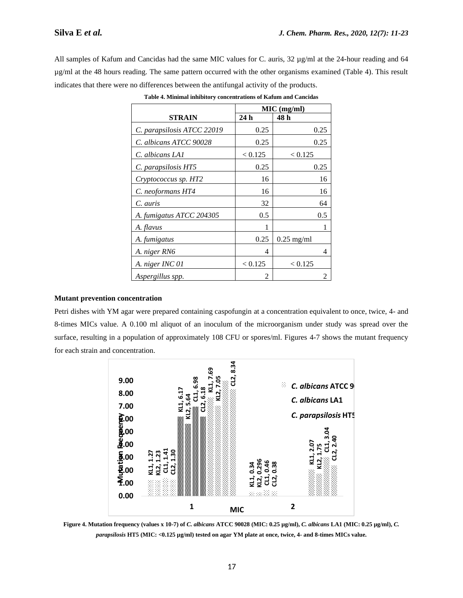All samples of Kafum and Cancidas had the same MIC values for C. auris, 32  $\mu$ g/ml at the 24-hour reading and 64 µg/ml at the 48 hours reading. The same pattern occurred with the other organisms examined (Table 4). This result indicates that there were no differences between the antifungal activity of the products.

|                            |                | $MIC$ (mg/ml)  |
|----------------------------|----------------|----------------|
| STRAIN                     | 24h            | 48 h           |
| C. parapsilosis ATCC 22019 | 0.25           | 0.25           |
| C. albicans ATCC 90028     | 0.25           | 0.25           |
| C. albicans LA1            | < 0.125        | < 0.125        |
| C. parapsilosis HT5        | 0.25           | 0.25           |
| Cryptococcus sp. HT2       | 16             | 16             |
| C. neoformans HT4          | 16             | 16             |
| C. auris                   | 32             | 64             |
| A. fumigatus ATCC 204305   | 0.5            | 0.5            |
| A. flavus                  |                |                |
| A. fumigatus               | 0.25           | $0.25$ mg/ml   |
| A. niger RN6               | 4              | 4              |
| A. niger INC 01            | < 0.125        | < 0.125        |
| Aspergillus spp.           | $\mathfrak{D}$ | $\mathfrak{D}$ |

**Table 4. Minimal inhibitory concentrations of Kafum and Cancidas**

# **Mutant prevention concentration**

Petri dishes with YM agar were prepared containing caspofungin at a concentration equivalent to once, twice, 4- and 8-times MICs value. A 0.100 ml aliquot of an inoculum of the microorganism under study was spread over the surface, resulting in a population of approximately 108 CFU or spores/ml. Figures 4-7 shows the mutant frequency for each strain and concentration.



**Figure 4. Mutation frequency (values x 10-7) of** *C. albicans* **ATCC 90028 (MIC: 0.25 µg/ml),** *C. albicans* **LA1 (MIC: 0.25 µg/ml),** *C.*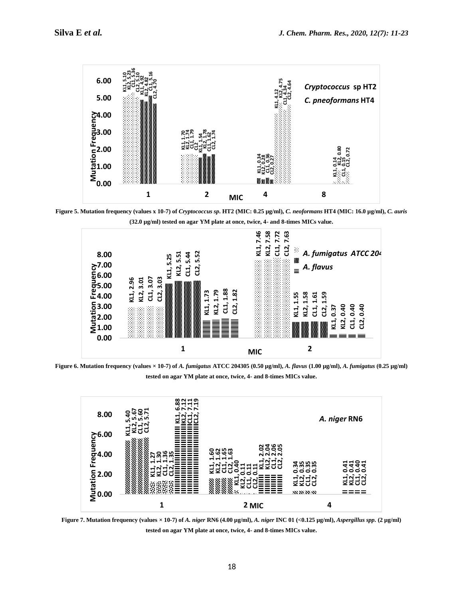

**Figure 5. Mutation frequency (values x 10-7) of** *Cryptococcus sp***. HT2 (MIC: 0.25 µg/ml),** *C. neoformans* **HT4 (MIC: 16.0 µg/ml),** *C. auris* **(32.0 µg/ml) tested on agar YM plate at once, twice, 4- and 8-times MICs value.**



**Figure 6. Mutation frequency (values × 10-7) of** *A. fumigatus* **ATCC 204305 (0.50 µg/ml),** *A. flavus* **(1.00 µg/ml),** *A. fumigatus* **(0.25 µg/ml) tested on agar YM plate at once, twice, 4- and 8-times MICs value.**



**Figure 7. Mutation frequency (values × 10-7) of** *A. niger* **RN6 (4.00 µg/ml),** *A. niger* **INC 01 (<0.125 µg/ml),** *Aspergillus spp.* **(2 µg/ml) tested on agar YM plate at once, twice, 4- and 8-times MICs value.**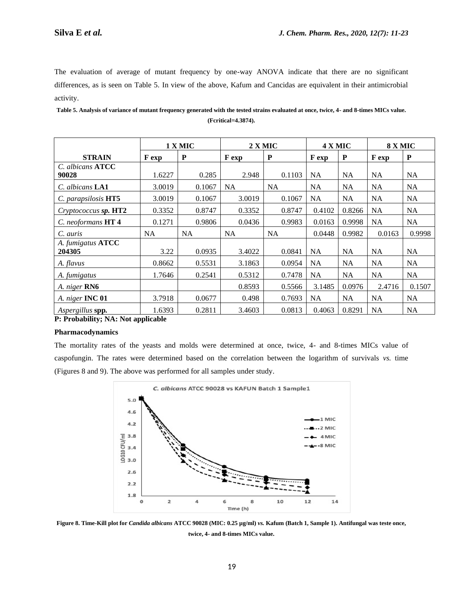The evaluation of average of mutant frequency by one-way ANOVA indicate that there are no significant differences, as is seen on Table 5. In view of the above, Kafum and Cancidas are equivalent in their antimicrobial activity.

**Table 5. Analysis of variance of mutant frequency generated with the tested strains evaluated at once, twice, 4- and 8-times MICs value. (Fcritical=4.3874).**

|                        | 1 X MIC |        |        | 2 X MIC   |           | 4 X MIC   |           | 8 X MIC   |  |
|------------------------|---------|--------|--------|-----------|-----------|-----------|-----------|-----------|--|
| <b>STRAIN</b>          | F exp   | P      | F exp  | P         | F exp     | P         | F exp     | ${\bf P}$ |  |
| C. albicans ATCC       |         |        |        |           |           |           |           |           |  |
| 90028                  | 1.6227  | 0.285  | 2.948  | 0.1103    | NA        | <b>NA</b> | NA.       | <b>NA</b> |  |
| C. albicans <b>LA1</b> | 3.0019  | 0.1067 | NA     | <b>NA</b> | <b>NA</b> | <b>NA</b> | <b>NA</b> | <b>NA</b> |  |
| C. parapsilosis HT5    | 3.0019  | 0.1067 | 3.0019 | 0.1067    | <b>NA</b> | <b>NA</b> | <b>NA</b> | <b>NA</b> |  |
| Cryptococcus sp. HT2   | 0.3352  | 0.8747 | 0.3352 | 0.8747    | 0.4102    | 0.8266    | <b>NA</b> | <b>NA</b> |  |
| C. neoformans HT 4     | 0.1271  | 0.9806 | 0.0436 | 0.9983    | 0.0163    | 0.9998    | <b>NA</b> | <b>NA</b> |  |
| C. auris               | NA      | NA     | NA     | <b>NA</b> | 0.0448    | 0.9982    | 0.0163    | 0.9998    |  |
| A. fumigatus ATCC      |         |        |        |           |           |           |           |           |  |
| 204305                 | 3.22    | 0.0935 | 3.4022 | 0.0841    | NA        | <b>NA</b> | <b>NA</b> | NA.       |  |
| A. flavus              | 0.8662  | 0.5531 | 3.1863 | 0.0954    | <b>NA</b> | <b>NA</b> | <b>NA</b> | <b>NA</b> |  |
| A. fumigatus           | 1.7646  | 0.2541 | 0.5312 | 0.7478    | <b>NA</b> | <b>NA</b> | <b>NA</b> | <b>NA</b> |  |
| A. niger RN6           |         |        | 0.8593 | 0.5566    | 3.1485    | 0.0976    | 2.4716    | 0.1507    |  |
| A. niger INC 01        | 3.7918  | 0.0677 | 0.498  | 0.7693    | <b>NA</b> | <b>NA</b> | <b>NA</b> | <b>NA</b> |  |
| Aspergillus spp.       | 1.6393  | 0.2811 | 3.4603 | 0.0813    | 0.4063    | 0.8291    | <b>NA</b> | <b>NA</b> |  |

**P: Probability; NA: Not applicable**

# **Pharmacodynamics**

The mortality rates of the yeasts and molds were determined at once, twice, 4- and 8-times MICs value of caspofungin. The rates were determined based on the correlation between the logarithm of survivals *vs.* time (Figures 8 and 9). The above was performed for all samples under study.



**Figure 8. Time-Kill plot for** *Candida albicans* **ATCC 90028 (MIC: 0.25 µg/ml)** *vs.* **Kafum (Batch 1, Sample 1). Antifungal was teste once, twice, 4- and 8-times MICs value.**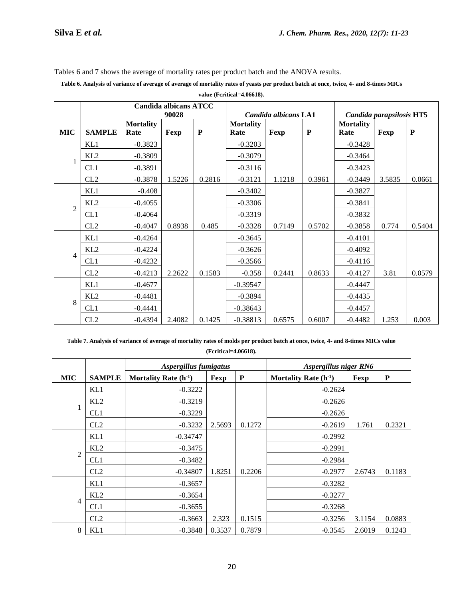Tables 6 and 7 shows the average of mortality rates per product batch and the ANOVA results.

**Table 6. Analysis of variance of average of average of mortality rates of yeasts per product batch at once, twice, 4- and 8-times MICs value (Fcritical=4.06618).**

|                |                 | <b>Candida albicans ATCC</b><br>90028 |        | Candida albicans LA1 |                          |        | Candida parapsilosis HT5 |                          |        |           |
|----------------|-----------------|---------------------------------------|--------|----------------------|--------------------------|--------|--------------------------|--------------------------|--------|-----------|
| <b>MIC</b>     | <b>SAMPLE</b>   | <b>Mortality</b><br>Rate              | Fexp   | ${\bf P}$            | <b>Mortality</b><br>Rate | Fexp   | ${\bf P}$                | <b>Mortality</b><br>Rate | Fexp   | ${\bf P}$ |
|                | KL1             | $-0.3823$                             |        |                      | $-0.3203$                |        |                          | $-0.3428$                |        |           |
|                | KL <sub>2</sub> | $-0.3809$                             |        |                      | $-0.3079$                |        |                          | $-0.3464$                |        |           |
| 1              | CL1             | $-0.3891$                             |        |                      | $-0.3116$                |        |                          | $-0.3423$                |        |           |
|                | CL2             | $-0.3878$                             | 1.5226 | 0.2816               | $-0.3121$                | 1.1218 | 0.3961                   | $-0.3449$                | 3.5835 | 0.0661    |
|                | KL1             | $-0.408$                              |        |                      | $-0.3402$                |        |                          | $-0.3827$                |        |           |
|                | KL2             | $-0.4055$                             |        |                      | $-0.3306$                |        |                          | $-0.3841$                |        |           |
| $\overline{2}$ | CL1             | $-0.4064$                             |        |                      | $-0.3319$                |        |                          | $-0.3832$                |        |           |
|                | CL2             | $-0.4047$                             | 0.8938 | 0.485                | $-0.3328$                | 0.7149 | 0.5702                   | $-0.3858$                | 0.774  | 0.5404    |
|                | KL1             | $-0.4264$                             |        |                      | $-0.3645$                |        |                          | $-0.4101$                |        |           |
|                | KL2             | $-0.4224$                             |        |                      | $-0.3626$                |        |                          | $-0.4092$                |        |           |
| 4              | CL1             | $-0.4232$                             |        |                      | $-0.3566$                |        |                          | $-0.4116$                |        |           |
|                | CL2             | $-0.4213$                             | 2.2622 | 0.1583               | $-0.358$                 | 0.2441 | 0.8633                   | $-0.4127$                | 3.81   | 0.0579    |
|                | KL1             | $-0.4677$                             |        |                      | $-0.39547$               |        |                          | $-0.4447$                |        |           |
|                | KL2             | $-0.4481$                             |        |                      | $-0.3894$                |        |                          | $-0.4435$                |        |           |
| 8              | CL1             | $-0.4441$                             |        |                      | $-0.38643$               |        |                          | $-0.4457$                |        |           |
|                | CL2             | $-0.4394$                             | 2.4082 | 0.1425               | $-0.38813$               | 0.6575 | 0.6007                   | $-0.4482$                | 1.253  | 0.003     |

**Table 7. Analysis of variance of average of mortality rates of molds per product batch at once, twice, 4- and 8-times MICs value (Fcritical=4.06618).**

|                |                 | Aspergillus fumigatus     |        |           | Aspergillus niger RN6     |        |           |
|----------------|-----------------|---------------------------|--------|-----------|---------------------------|--------|-----------|
| <b>MIC</b>     | <b>SAMPLE</b>   | Mortality Rate $(h^{-1})$ | Fexp   | ${\bf P}$ | Mortality Rate $(h^{-1})$ | Fexp   | ${\bf P}$ |
|                | KL1             | $-0.3222$                 |        |           | $-0.2624$                 |        |           |
|                | KL2             | $-0.3219$                 |        |           | $-0.2626$                 |        |           |
|                | CL <sub>1</sub> | $-0.3229$                 |        |           | $-0.2626$                 |        |           |
|                | CL2             | $-0.3232$                 | 2.5693 | 0.1272    | $-0.2619$                 | 1.761  | 0.2321    |
|                | KL1             | $-0.34747$                |        |           | $-0.2992$                 |        |           |
|                | KL2             | $-0.3475$                 |        |           | $-0.2991$                 |        |           |
| $\overline{2}$ | CL1             | $-0.3482$                 |        |           | $-0.2984$                 |        |           |
|                | CL2             | $-0.34807$                | 1.8251 | 0.2206    | $-0.2977$                 | 2.6743 | 0.1183    |
|                | KL1             | $-0.3657$                 |        |           | $-0.3282$                 |        |           |
|                | KL2             | $-0.3654$                 |        |           | $-0.3277$                 |        |           |
| $\overline{4}$ | CL1             | $-0.3655$                 |        |           | $-0.3268$                 |        |           |
|                | CL2             | $-0.3663$                 | 2.323  | 0.1515    | $-0.3256$                 | 3.1154 | 0.0883    |
| 8              | KL1             | $-0.3848$                 | 0.3537 | 0.7879    | $-0.3545$                 | 2.6019 | 0.1243    |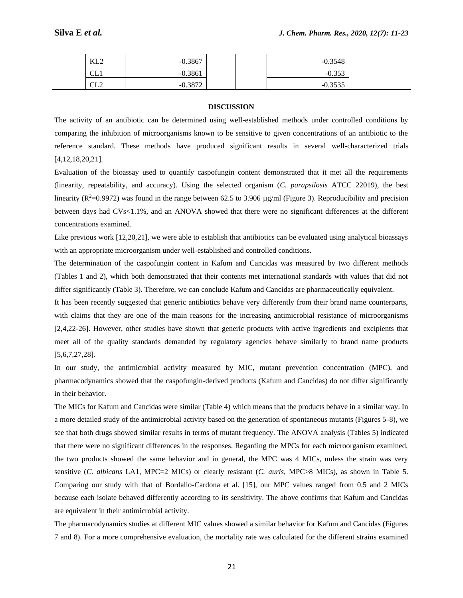| KL <sub>2</sub>  | 0.3867 | 0.3548<br>-11 |  |
|------------------|--------|---------------|--|
| $\sim$<br>ᇅ      | 0.3861 | 0.252         |  |
| $\alpha r$<br>ىس | 2072   | 0.2525        |  |

### **DISCUSSION**

The activity of an antibiotic can be determined using well-established methods under controlled conditions by comparing the inhibition of microorganisms known to be sensitive to given concentrations of an antibiotic to the reference standard. These methods have produced significant results in several well-characterized trials [4,12,18,20,21].

Evaluation of the bioassay used to quantify caspofungin content demonstrated that it met all the requirements (linearity, repeatability, and accuracy). Using the selected organism (*C. parapsilosis* ATCC 22019), the best linearity ( $R^2$ =0.9972) was found in the range between 62.5 to 3.906 µg/ml (Figure 3). Reproducibility and precision between days had CVs<1.1%, and an ANOVA showed that there were no significant differences at the different concentrations examined.

Like previous work [12,20,21], we were able to establish that antibiotics can be evaluated using analytical bioassays with an appropriate microorganism under well-established and controlled conditions.

The determination of the caspofungin content in Kafum and Cancidas was measured by two different methods (Tables 1 and 2), which both demonstrated that their contents met international standards with values that did not differ significantly (Table 3). Therefore, we can conclude Kafum and Cancidas are pharmaceutically equivalent.

It has been recently suggested that generic antibiotics behave very differently from their brand name counterparts, with claims that they are one of the main reasons for the increasing antimicrobial resistance of microorganisms [2,4,22-26]. However, other studies have shown that generic products with active ingredients and excipients that meet all of the quality standards demanded by regulatory agencies behave similarly to brand name products [5,6,7,27,28].

In our study, the antimicrobial activity measured by MIC, mutant prevention concentration (MPC), and pharmacodynamics showed that the caspofungin-derived products (Kafum and Cancidas) do not differ significantly in their behavior.

The MICs for Kafum and Cancidas were similar (Table 4) which means that the products behave in a similar way. In a more detailed study of the antimicrobial activity based on the generation of spontaneous mutants (Figures 5-8), we see that both drugs showed similar results in terms of mutant frequency. The ANOVA analysis (Tables 5) indicated that there were no significant differences in the responses. Regarding the MPCs for each microorganism examined, the two products showed the same behavior and in general, the MPC was 4 MICs, unless the strain was very sensitive (*C. albicans* LA1, MPC=2 MICs) or clearly resistant (*C. auris,* MPC>8 MICs), as shown in Table 5. Comparing our study with that of Bordallo-Cardona et al. [15], our MPC values ranged from 0.5 and 2 MICs because each isolate behaved differently according to its sensitivity. The above confirms that Kafum and Cancidas are equivalent in their antimicrobial activity.

The pharmacodynamics studies at different MIC values showed a similar behavior for Kafum and Cancidas (Figures 7 and 8). For a more comprehensive evaluation, the mortality rate was calculated for the different strains examined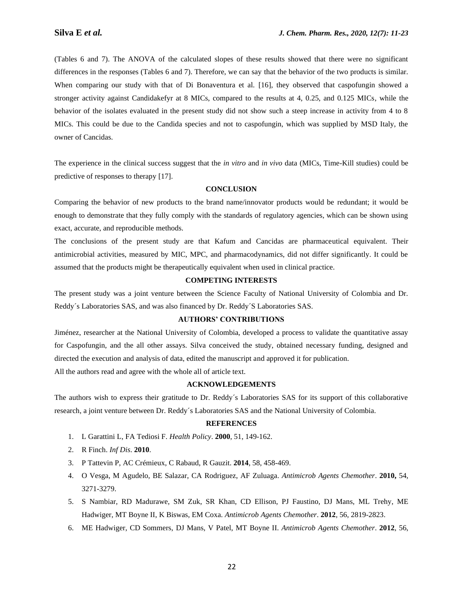(Tables 6 and 7). The ANOVA of the calculated slopes of these results showed that there were no significant differences in the responses (Tables 6 and 7). Therefore, we can say that the behavior of the two products is similar. When comparing our study with that of Di Bonaventura et al. [16], they observed that caspofungin showed a stronger activity against Candidakefyr at 8 MICs, compared to the results at 4, 0.25, and 0.125 MICs, while the behavior of the isolates evaluated in the present study did not show such a steep increase in activity from 4 to 8 MICs. This could be due to the Candida species and not to caspofungin, which was supplied by MSD Italy, the owner of Cancidas.

The experience in the clinical success suggest that the *in vitro* and *in vivo* data (MICs, Time-Kill studies) could be predictive of responses to therapy [17].

#### **CONCLUSION**

Comparing the behavior of new products to the brand name/innovator products would be redundant; it would be enough to demonstrate that they fully comply with the standards of regulatory agencies, which can be shown using exact, accurate, and reproducible methods.

The conclusions of the present study are that Kafum and Cancidas are pharmaceutical equivalent. Their antimicrobial activities, measured by MIC, MPC, and pharmacodynamics, did not differ significantly. It could be assumed that the products might be therapeutically equivalent when used in clinical practice.

#### **COMPETING INTERESTS**

The present study was a joint venture between the Science Faculty of National University of Colombia and Dr. Reddy´s Laboratories SAS, and was also financed by Dr. Reddy´S Laboratories SAS.

# **AUTHORS' CONTRIBUTIONS**

Jiménez, researcher at the National University of Colombia, developed a process to validate the quantitative assay for Caspofungin, and the all other assays. Silva conceived the study, obtained necessary funding, designed and directed the execution and analysis of data, edited the manuscript and approved it for publication.

All the authors read and agree with the whole all of article text.

#### **ACKNOWLEDGEMENTS**

The authors wish to express their gratitude to Dr. Reddy´s Laboratories SAS for its support of this collaborative research, a joint venture between Dr. Reddy´s Laboratories SAS and the National University of Colombia.

### **REFERENCES**

- 1. L Garattini L, FA Tediosi F. *Health Policy*. **2000**, 51, 149-162.
- 2. R Finch. *Inf Dis*. **2010**.
- 3. P Tattevin P, AC Crémieux, C Rabaud, R Gauzit. **2014**, 58, 458-469.
- 4. O Vesga, M Agudelo, BE Salazar, CA Rodriguez, AF Zuluaga. *Antimicrob Agents Chemother*. **2010,** 54, 3271-3279.
- 5. S Nambiar, RD Madurawe, SM Zuk, SR Khan, CD Ellison, PJ Faustino, DJ Mans, ML Trehy, ME Hadwiger, MT Boyne II, K Biswas, EM Coxa. *Antimicrob Agents Chemother*. **2012**, 56, 2819-2823.
- 6. ME Hadwiger, CD Sommers, DJ Mans, V Patel, MT Boyne II. *Antimicrob Agents Chemother*. **2012**, 56,